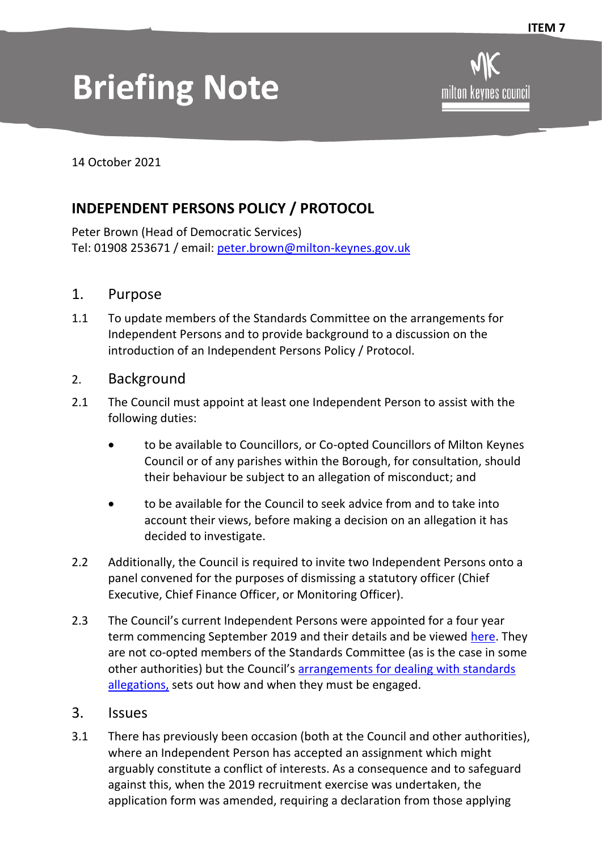## **Briefing Note**

milton kevnes

14 October 2021

## **INDEPENDENT PERSONS POLICY / PROTOCOL**

Peter Brown (Head of Democratic Services) Tel: 01908 253671 / email: [peter.brown@milton-keynes.gov.uk](mailto:peter.brown@milton-keynes.gov.uk)

- 1. Purpose
- 1.1 To update members of the Standards Committee on the arrangements for Independent Persons and to provide background to a discussion on the introduction of an Independent Persons Policy / Protocol.
- 2. Background
- 2.1 The Council must appoint at least one Independent Person to assist with the following duties:
	- to be available to Councillors, or Co-opted Councillors of Milton Keynes Council or of any parishes within the Borough, for consultation, should their behaviour be subject to an allegation of misconduct; and
	- to be available for the Council to seek advice from and to take into account their views, before making a decision on an allegation it has decided to investigate.
- 2.2 Additionally, the Council is required to invite two Independent Persons onto a panel convened for the purposes of dismissing a statutory officer (Chief Executive, Chief Finance Officer, or Monitoring Officer).
- 2.3 The Council's current Independent Persons were appointed for a four year term commencing September 2019 and their details and be viewed [here.](https://www.milton-keynes.gov.uk/assets/attach/67364/Independent-Persons-Biographies-Sept-20.pdf) They are not co-opted members of the Standards Committee (as is the case in some other authorities) but the Council's [arrangements for dealing with standards](https://www.milton-keynes.gov.uk/assets/attach/57036/Arrangements-for-Dealing-with-Standards-Allegations.pdf)  [allegations,](https://www.milton-keynes.gov.uk/assets/attach/57036/Arrangements-for-Dealing-with-Standards-Allegations.pdf) sets out how and when they must be engaged.
- 3. Issues
- 3.1 There has previously been occasion (both at the Council and other authorities), where an Independent Person has accepted an assignment which might arguably constitute a conflict of interests. As a consequence and to safeguard against this, when the 2019 recruitment exercise was undertaken, the application form was amended, requiring a declaration from those applying